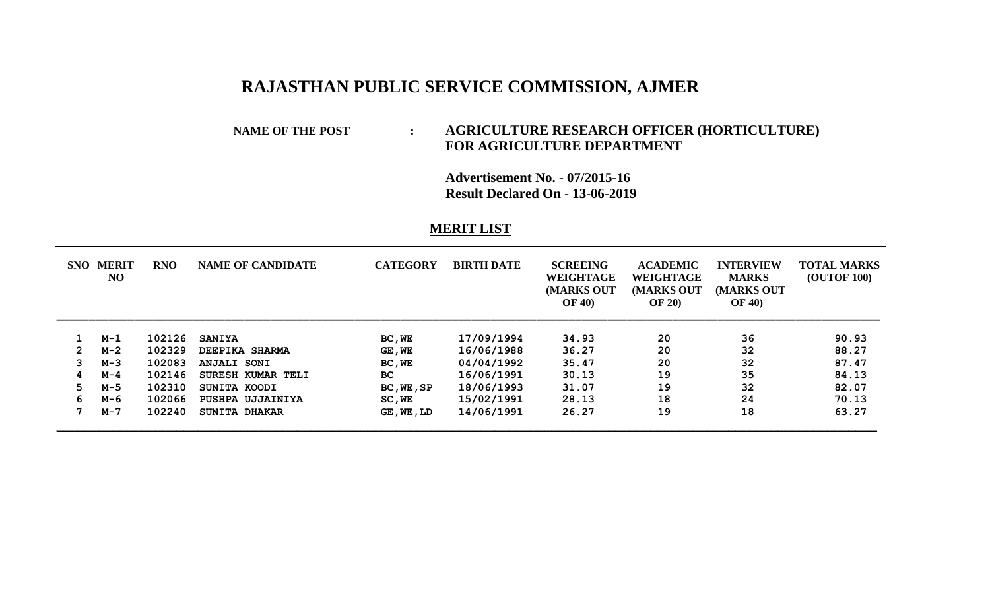## **RAJASTHAN PUBLIC SERVICE COMMISSION, AJMER**

## **NAME OF THE POST : AGRICULTURE RESEARCH OFFICER (HORTICULTURE) FOR AGRICULTURE DEPARTMENT**

**Advertisement No. - 07/2015-16 Result Declared On - 13-06-2019**

## **MERIT LIST**

| SNO                   | <b>MERIT</b><br>N <sub>O</sub> | <b>RNO</b> | <b>NAME OF CANDIDATE</b> | <b>CATEGORY</b> | <b>BIRTH DATE</b> | <b>SCREEING</b><br>WEIGHTAGE<br><b>MARKS OUT</b><br><b>OF 40)</b> | <b>ACADEMIC</b><br>WEIGHTAGE<br><b>MARKS OUT</b><br><b>OF 20</b> ) | <b>INTERVIEW</b><br><b>MARKS</b><br><b>MARKS OUT</b><br><b>OF 40)</b> | <b>TOTAL MARKS</b><br><b>(OUTOF 100)</b> |
|-----------------------|--------------------------------|------------|--------------------------|-----------------|-------------------|-------------------------------------------------------------------|--------------------------------------------------------------------|-----------------------------------------------------------------------|------------------------------------------|
|                       | $M-1$                          | 102126     | <b>SANIYA</b>            | BC, WE          | 17/09/1994        | 34.93                                                             | 20                                                                 | 36                                                                    | 90.93                                    |
| $\mathbf{2}^{\prime}$ | $M-2$                          | 102329     | <b>DEEPIKA SHARMA</b>    | GE, WE          | 16/06/1988        | 36.27                                                             | 20                                                                 | 32                                                                    | 88.27                                    |
| 3                     | $M-3$                          | 102083     | <b>ANJALI SONI</b>       | BC, WE          | 04/04/1992        | 35.47                                                             | 20                                                                 | 32                                                                    | 87.47                                    |
| 4                     | $M-4$                          | 102146     | SURESH KUMAR TELI        | BC.             | 16/06/1991        | 30.13                                                             | 19                                                                 | 35                                                                    | 84.13                                    |
| 5.                    | $M-5$                          | 102310     | SUNITA KOODI             | BC, WE, SP      | 18/06/1993        | 31.07                                                             | 19                                                                 | 32                                                                    | 82.07                                    |
| 6.                    | м-6                            | 102066     | PUSHPA UJJAINIYA         | SC, WE          | 15/02/1991        | 28.13                                                             | 18                                                                 | 24                                                                    | 70.13                                    |
|                       | $M - 7$                        | 102240     | SUNITA DHAKAR            | GE, WE, LD      | 14/06/1991        | 26.27                                                             | 19                                                                 | 18                                                                    | 63.27                                    |